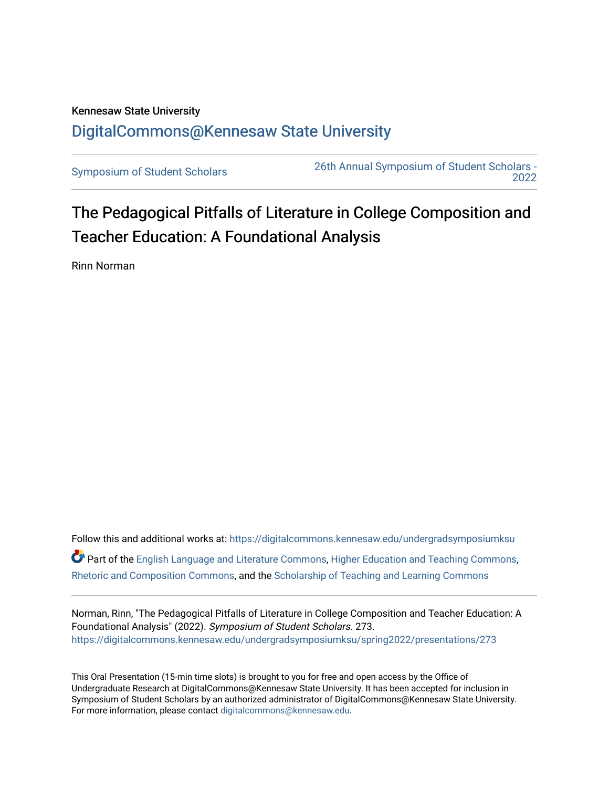## Kennesaw State University [DigitalCommons@Kennesaw State University](https://digitalcommons.kennesaw.edu/)

[Symposium of Student Scholars](https://digitalcommons.kennesaw.edu/undergradsymposiumksu) [26th Annual Symposium of Student Scholars -](https://digitalcommons.kennesaw.edu/undergradsymposiumksu/spring2022)  [2022](https://digitalcommons.kennesaw.edu/undergradsymposiumksu/spring2022) 

# The Pedagogical Pitfalls of Literature in College Composition and Teacher Education: A Foundational Analysis

Rinn Norman

Follow this and additional works at: [https://digitalcommons.kennesaw.edu/undergradsymposiumksu](https://digitalcommons.kennesaw.edu/undergradsymposiumksu?utm_source=digitalcommons.kennesaw.edu%2Fundergradsymposiumksu%2Fspring2022%2Fpresentations%2F273&utm_medium=PDF&utm_campaign=PDFCoverPages)  Part of the [English Language and Literature Commons](http://network.bepress.com/hgg/discipline/455?utm_source=digitalcommons.kennesaw.edu%2Fundergradsymposiumksu%2Fspring2022%2Fpresentations%2F273&utm_medium=PDF&utm_campaign=PDFCoverPages), [Higher Education and Teaching Commons,](http://network.bepress.com/hgg/discipline/806?utm_source=digitalcommons.kennesaw.edu%2Fundergradsymposiumksu%2Fspring2022%2Fpresentations%2F273&utm_medium=PDF&utm_campaign=PDFCoverPages) [Rhetoric and Composition Commons,](http://network.bepress.com/hgg/discipline/573?utm_source=digitalcommons.kennesaw.edu%2Fundergradsymposiumksu%2Fspring2022%2Fpresentations%2F273&utm_medium=PDF&utm_campaign=PDFCoverPages) and the [Scholarship of Teaching and Learning Commons](http://network.bepress.com/hgg/discipline/1328?utm_source=digitalcommons.kennesaw.edu%2Fundergradsymposiumksu%2Fspring2022%2Fpresentations%2F273&utm_medium=PDF&utm_campaign=PDFCoverPages) 

Norman, Rinn, "The Pedagogical Pitfalls of Literature in College Composition and Teacher Education: A Foundational Analysis" (2022). Symposium of Student Scholars. 273. [https://digitalcommons.kennesaw.edu/undergradsymposiumksu/spring2022/presentations/273](https://digitalcommons.kennesaw.edu/undergradsymposiumksu/spring2022/presentations/273?utm_source=digitalcommons.kennesaw.edu%2Fundergradsymposiumksu%2Fspring2022%2Fpresentations%2F273&utm_medium=PDF&utm_campaign=PDFCoverPages)

This Oral Presentation (15-min time slots) is brought to you for free and open access by the Office of Undergraduate Research at DigitalCommons@Kennesaw State University. It has been accepted for inclusion in Symposium of Student Scholars by an authorized administrator of DigitalCommons@Kennesaw State University. For more information, please contact [digitalcommons@kennesaw.edu.](mailto:digitalcommons@kennesaw.edu)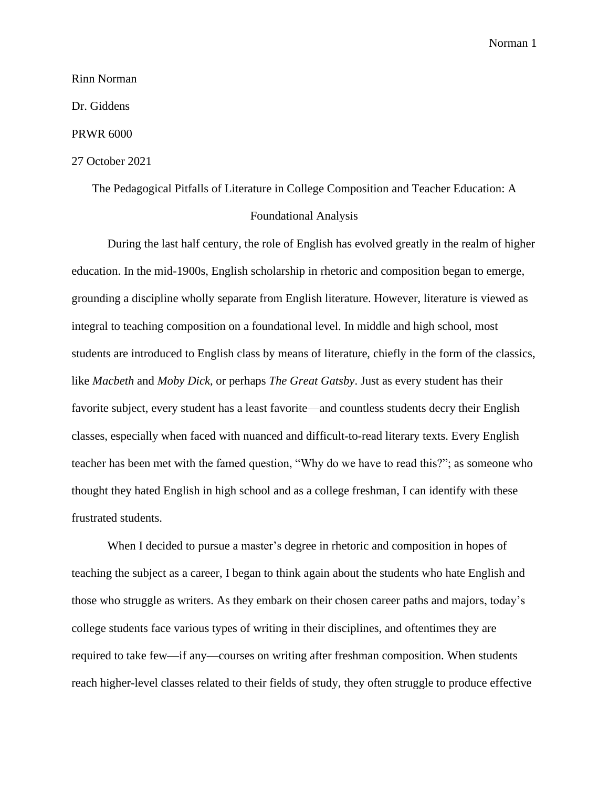#### Rinn Norman

Dr. Giddens

#### PRWR 6000

#### 27 October 2021

### The Pedagogical Pitfalls of Literature in College Composition and Teacher Education: A

#### Foundational Analysis

During the last half century, the role of English has evolved greatly in the realm of higher education. In the mid-1900s, English scholarship in rhetoric and composition began to emerge, grounding a discipline wholly separate from English literature. However, literature is viewed as integral to teaching composition on a foundational level. In middle and high school, most students are introduced to English class by means of literature, chiefly in the form of the classics, like *Macbeth* and *Moby Dick*, or perhaps *The Great Gatsby*. Just as every student has their favorite subject, every student has a least favorite—and countless students decry their English classes, especially when faced with nuanced and difficult-to-read literary texts. Every English teacher has been met with the famed question, "Why do we have to read this?"; as someone who thought they hated English in high school and as a college freshman, I can identify with these frustrated students.

When I decided to pursue a master's degree in rhetoric and composition in hopes of teaching the subject as a career, I began to think again about the students who hate English and those who struggle as writers. As they embark on their chosen career paths and majors, today's college students face various types of writing in their disciplines, and oftentimes they are required to take few—if any—courses on writing after freshman composition. When students reach higher-level classes related to their fields of study, they often struggle to produce effective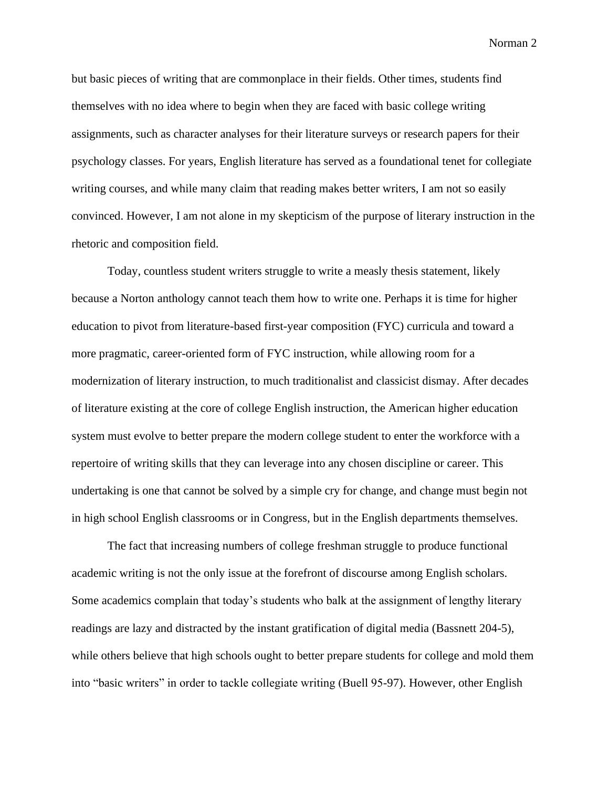but basic pieces of writing that are commonplace in their fields. Other times, students find themselves with no idea where to begin when they are faced with basic college writing assignments, such as character analyses for their literature surveys or research papers for their psychology classes. For years, English literature has served as a foundational tenet for collegiate writing courses, and while many claim that reading makes better writers, I am not so easily convinced. However, I am not alone in my skepticism of the purpose of literary instruction in the rhetoric and composition field.

Today, countless student writers struggle to write a measly thesis statement, likely because a Norton anthology cannot teach them how to write one. Perhaps it is time for higher education to pivot from literature-based first-year composition (FYC) curricula and toward a more pragmatic, career-oriented form of FYC instruction, while allowing room for a modernization of literary instruction, to much traditionalist and classicist dismay. After decades of literature existing at the core of college English instruction, the American higher education system must evolve to better prepare the modern college student to enter the workforce with a repertoire of writing skills that they can leverage into any chosen discipline or career. This undertaking is one that cannot be solved by a simple cry for change, and change must begin not in high school English classrooms or in Congress, but in the English departments themselves.

The fact that increasing numbers of college freshman struggle to produce functional academic writing is not the only issue at the forefront of discourse among English scholars. Some academics complain that today's students who balk at the assignment of lengthy literary readings are lazy and distracted by the instant gratification of digital media (Bassnett 204-5), while others believe that high schools ought to better prepare students for college and mold them into "basic writers" in order to tackle collegiate writing (Buell 95-97). However, other English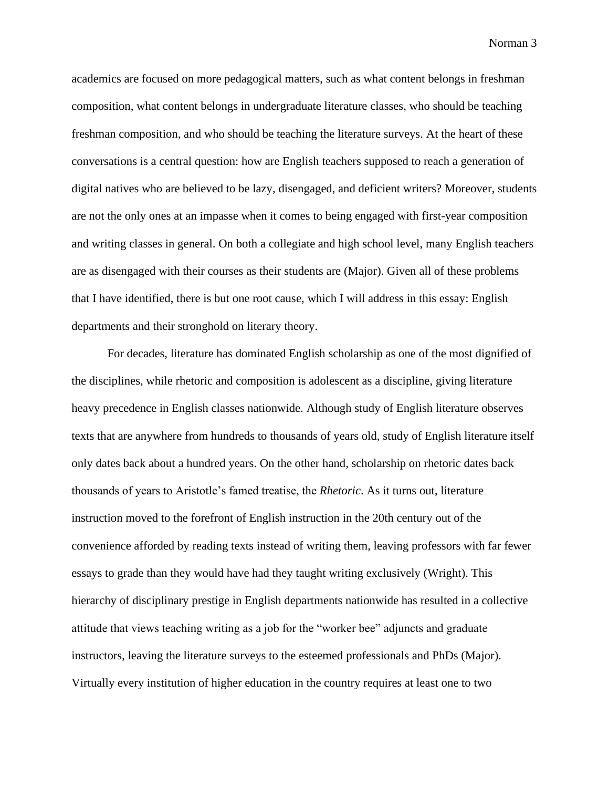academics are focused on more pedagogical matters, such as what content belongs in freshman composition, what content belongs in undergraduate literature classes, who should be teaching freshman composition, and who should be teaching the literature surveys. At the heart of these conversations is a central question: how are English teachers supposed to reach a generation of digital natives who are believed to be lazy, disengaged, and deficient writers? Moreover, students are not the only ones at an impasse when it comes to being engaged with first-year composition and writing classes in general. On both a collegiate and high school level, many English teachers are as disengaged with their courses as their students are (Major). Given all of these problems that I have identified, there is but one root cause, which I will address in this essay: English departments and their stronghold on literary theory.

For decades, literature has dominated English scholarship as one of the most dignified of the disciplines, while rhetoric and composition is adolescent as a discipline, giving literature heavy precedence in English classes nationwide. Although study of English literature observes texts that are anywhere from hundreds to thousands of years old, study of English literature itself only dates back about a hundred years. On the other hand, scholarship on rhetoric dates back thousands of years to Aristotle's famed treatise, the *Rhetoric*. As it turns out, literature instruction moved to the forefront of English instruction in the 20th century out of the convenience afforded by reading texts instead of writing them, leaving professors with far fewer essays to grade than they would have had they taught writing exclusively (Wright). This hierarchy of disciplinary prestige in English departments nationwide has resulted in a collective attitude that views teaching writing as a job for the "worker bee" adjuncts and graduate instructors, leaving the literature surveys to the esteemed professionals and PhDs (Major). Virtually every institution of higher education in the country requires at least one to two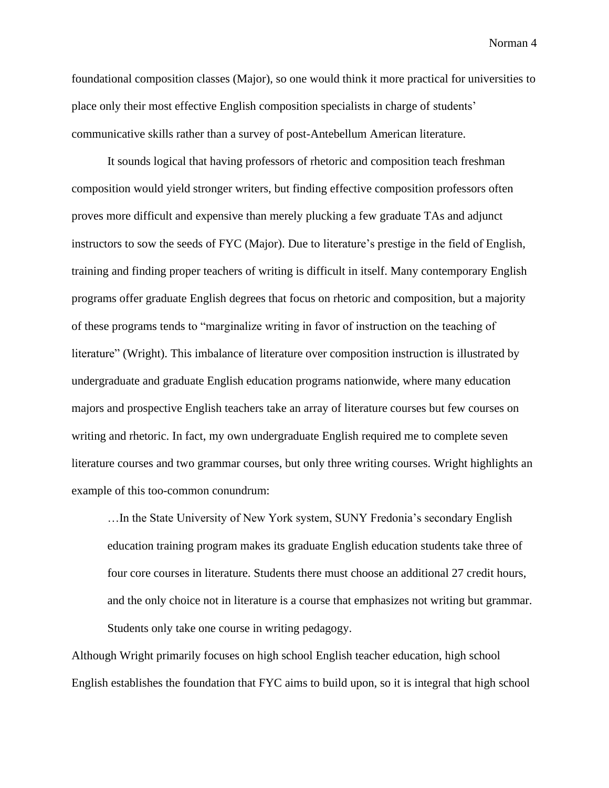foundational composition classes (Major), so one would think it more practical for universities to place only their most effective English composition specialists in charge of students' communicative skills rather than a survey of post-Antebellum American literature.

It sounds logical that having professors of rhetoric and composition teach freshman composition would yield stronger writers, but finding effective composition professors often proves more difficult and expensive than merely plucking a few graduate TAs and adjunct instructors to sow the seeds of FYC (Major). Due to literature's prestige in the field of English, training and finding proper teachers of writing is difficult in itself. Many contemporary English programs offer graduate English degrees that focus on rhetoric and composition, but a majority of these programs tends to "marginalize writing in favor of instruction on the teaching of literature" (Wright). This imbalance of literature over composition instruction is illustrated by undergraduate and graduate English education programs nationwide, where many education majors and prospective English teachers take an array of literature courses but few courses on writing and rhetoric. In fact, my own undergraduate English required me to complete seven literature courses and two grammar courses, but only three writing courses. Wright highlights an example of this too-common conundrum:

…In the State University of New York system, SUNY Fredonia's secondary English education training program makes its graduate English education students take three of four core courses in literature. Students there must choose an additional 27 credit hours, and the only choice not in literature is a course that emphasizes not writing but grammar. Students only take one course in writing pedagogy.

Although Wright primarily focuses on high school English teacher education, high school English establishes the foundation that FYC aims to build upon, so it is integral that high school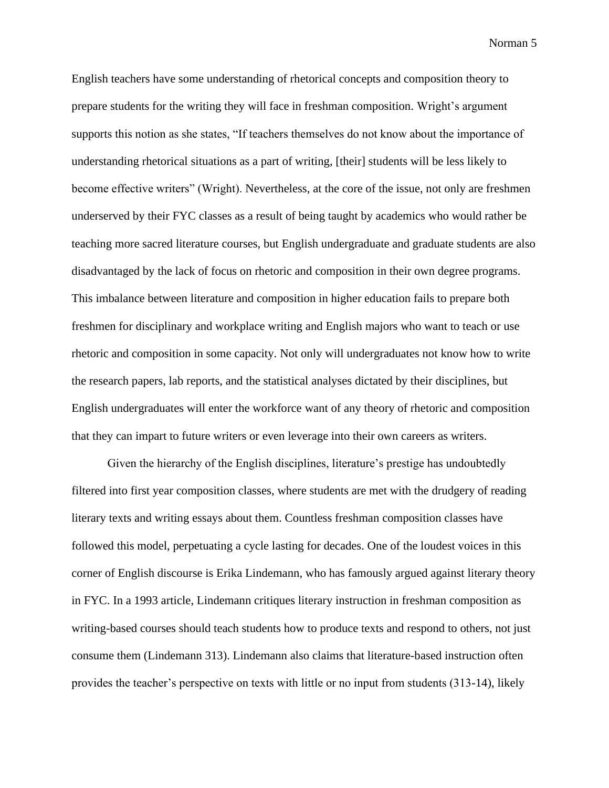English teachers have some understanding of rhetorical concepts and composition theory to prepare students for the writing they will face in freshman composition. Wright's argument supports this notion as she states, "If teachers themselves do not know about the importance of understanding rhetorical situations as a part of writing, [their] students will be less likely to become effective writers" (Wright). Nevertheless, at the core of the issue, not only are freshmen underserved by their FYC classes as a result of being taught by academics who would rather be teaching more sacred literature courses, but English undergraduate and graduate students are also disadvantaged by the lack of focus on rhetoric and composition in their own degree programs. This imbalance between literature and composition in higher education fails to prepare both freshmen for disciplinary and workplace writing and English majors who want to teach or use rhetoric and composition in some capacity. Not only will undergraduates not know how to write the research papers, lab reports, and the statistical analyses dictated by their disciplines, but English undergraduates will enter the workforce want of any theory of rhetoric and composition that they can impart to future writers or even leverage into their own careers as writers.

Given the hierarchy of the English disciplines, literature's prestige has undoubtedly filtered into first year composition classes, where students are met with the drudgery of reading literary texts and writing essays about them. Countless freshman composition classes have followed this model, perpetuating a cycle lasting for decades. One of the loudest voices in this corner of English discourse is Erika Lindemann, who has famously argued against literary theory in FYC. In a 1993 article, Lindemann critiques literary instruction in freshman composition as writing-based courses should teach students how to produce texts and respond to others, not just consume them (Lindemann 313). Lindemann also claims that literature-based instruction often provides the teacher's perspective on texts with little or no input from students (313-14), likely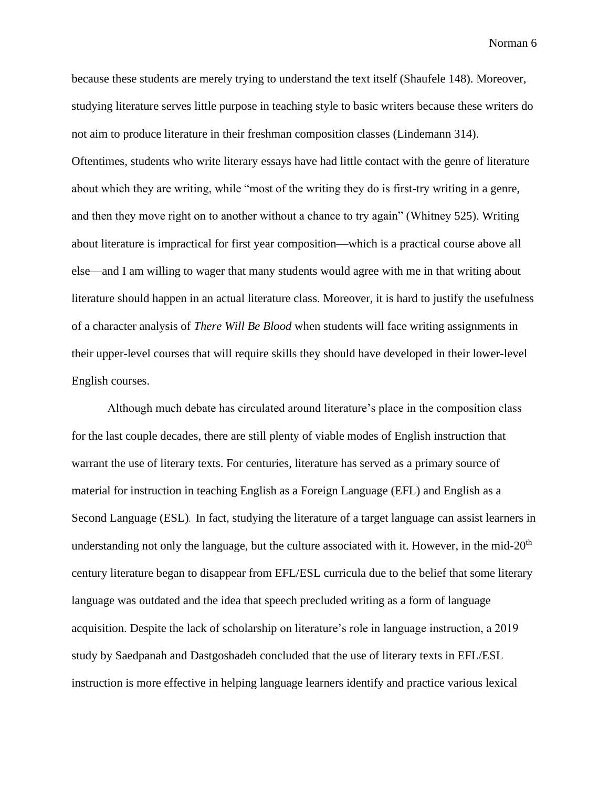because these students are merely trying to understand the text itself (Shaufele 148). Moreover, studying literature serves little purpose in teaching style to basic writers because these writers do not aim to produce literature in their freshman composition classes (Lindemann 314). Oftentimes, students who write literary essays have had little contact with the genre of literature about which they are writing, while "most of the writing they do is first-try writing in a genre, and then they move right on to another without a chance to try again" (Whitney 525). Writing about literature is impractical for first year composition—which is a practical course above all else—and I am willing to wager that many students would agree with me in that writing about literature should happen in an actual literature class. Moreover, it is hard to justify the usefulness of a character analysis of *There Will Be Blood* when students will face writing assignments in their upper-level courses that will require skills they should have developed in their lower-level English courses.

Although much debate has circulated around literature's place in the composition class for the last couple decades, there are still plenty of viable modes of English instruction that warrant the use of literary texts. For centuries, literature has served as a primary source of material for instruction in teaching English as a Foreign Language (EFL) and English as a Second Language (ESL). In fact, studying the literature of a target language can assist learners in understanding not only the language, but the culture associated with it. However, in the mid- $20<sup>th</sup>$ century literature began to disappear from EFL/ESL curricula due to the belief that some literary language was outdated and the idea that speech precluded writing as a form of language acquisition. Despite the lack of scholarship on literature's role in language instruction, a 2019 study by Saedpanah and Dastgoshadeh concluded that the use of literary texts in EFL/ESL instruction is more effective in helping language learners identify and practice various lexical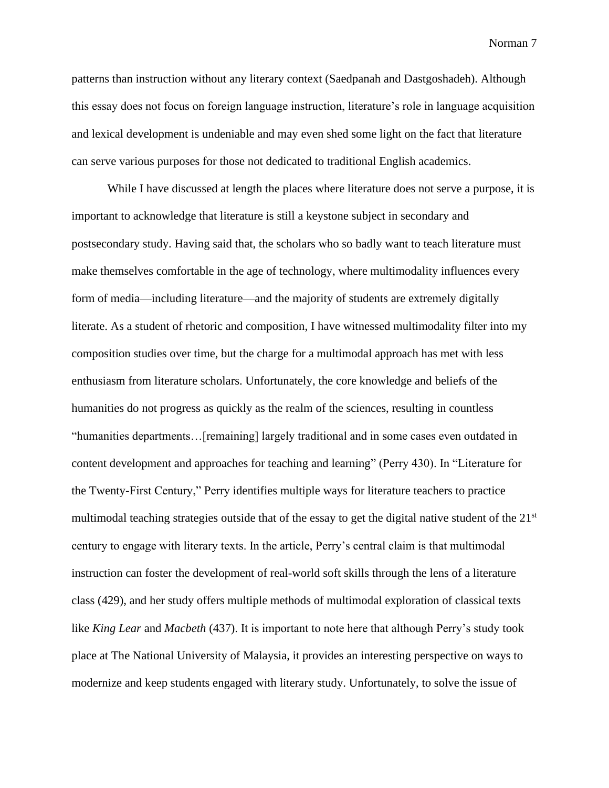patterns than instruction without any literary context (Saedpanah and Dastgoshadeh). Although this essay does not focus on foreign language instruction, literature's role in language acquisition and lexical development is undeniable and may even shed some light on the fact that literature can serve various purposes for those not dedicated to traditional English academics.

While I have discussed at length the places where literature does not serve a purpose, it is important to acknowledge that literature is still a keystone subject in secondary and postsecondary study. Having said that, the scholars who so badly want to teach literature must make themselves comfortable in the age of technology, where multimodality influences every form of media—including literature—and the majority of students are extremely digitally literate. As a student of rhetoric and composition, I have witnessed multimodality filter into my composition studies over time, but the charge for a multimodal approach has met with less enthusiasm from literature scholars. Unfortunately, the core knowledge and beliefs of the humanities do not progress as quickly as the realm of the sciences, resulting in countless "humanities departments…[remaining] largely traditional and in some cases even outdated in content development and approaches for teaching and learning" (Perry 430). In "Literature for the Twenty-First Century," Perry identifies multiple ways for literature teachers to practice multimodal teaching strategies outside that of the essay to get the digital native student of the  $21<sup>st</sup>$ century to engage with literary texts. In the article, Perry's central claim is that multimodal instruction can foster the development of real-world soft skills through the lens of a literature class (429), and her study offers multiple methods of multimodal exploration of classical texts like *King Lear* and *Macbeth* (437). It is important to note here that although Perry's study took place at The National University of Malaysia, it provides an interesting perspective on ways to modernize and keep students engaged with literary study. Unfortunately, to solve the issue of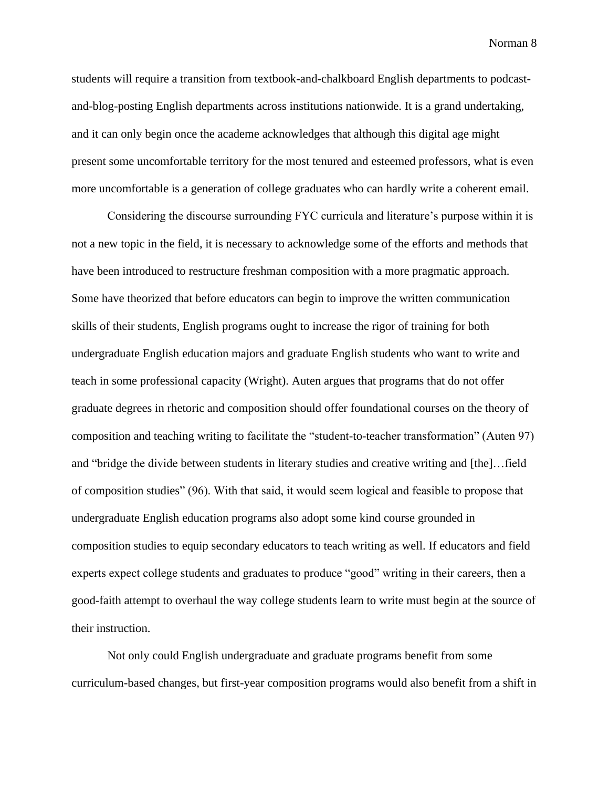students will require a transition from textbook-and-chalkboard English departments to podcastand-blog-posting English departments across institutions nationwide. It is a grand undertaking, and it can only begin once the academe acknowledges that although this digital age might present some uncomfortable territory for the most tenured and esteemed professors, what is even more uncomfortable is a generation of college graduates who can hardly write a coherent email.

Considering the discourse surrounding FYC curricula and literature's purpose within it is not a new topic in the field, it is necessary to acknowledge some of the efforts and methods that have been introduced to restructure freshman composition with a more pragmatic approach. Some have theorized that before educators can begin to improve the written communication skills of their students, English programs ought to increase the rigor of training for both undergraduate English education majors and graduate English students who want to write and teach in some professional capacity (Wright). Auten argues that programs that do not offer graduate degrees in rhetoric and composition should offer foundational courses on the theory of composition and teaching writing to facilitate the "student-to-teacher transformation" (Auten 97) and "bridge the divide between students in literary studies and creative writing and [the]…field of composition studies" (96). With that said, it would seem logical and feasible to propose that undergraduate English education programs also adopt some kind course grounded in composition studies to equip secondary educators to teach writing as well. If educators and field experts expect college students and graduates to produce "good" writing in their careers, then a good-faith attempt to overhaul the way college students learn to write must begin at the source of their instruction.

Not only could English undergraduate and graduate programs benefit from some curriculum-based changes, but first-year composition programs would also benefit from a shift in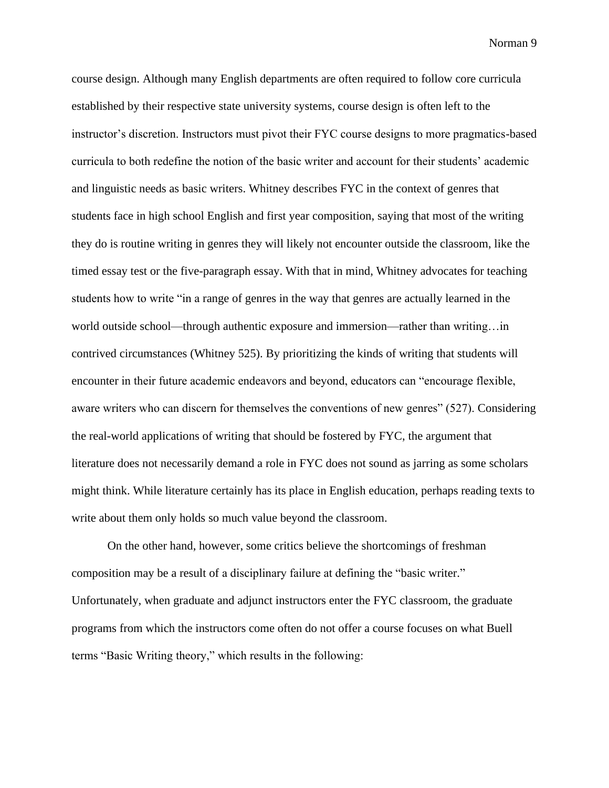course design. Although many English departments are often required to follow core curricula established by their respective state university systems, course design is often left to the instructor's discretion. Instructors must pivot their FYC course designs to more pragmatics-based curricula to both redefine the notion of the basic writer and account for their students' academic and linguistic needs as basic writers. Whitney describes FYC in the context of genres that students face in high school English and first year composition, saying that most of the writing they do is routine writing in genres they will likely not encounter outside the classroom, like the timed essay test or the five-paragraph essay. With that in mind, Whitney advocates for teaching students how to write "in a range of genres in the way that genres are actually learned in the world outside school—through authentic exposure and immersion—rather than writing…in contrived circumstances (Whitney 525). By prioritizing the kinds of writing that students will encounter in their future academic endeavors and beyond, educators can "encourage flexible, aware writers who can discern for themselves the conventions of new genres" (527). Considering the real-world applications of writing that should be fostered by FYC, the argument that literature does not necessarily demand a role in FYC does not sound as jarring as some scholars might think. While literature certainly has its place in English education, perhaps reading texts to write about them only holds so much value beyond the classroom.

On the other hand, however, some critics believe the shortcomings of freshman composition may be a result of a disciplinary failure at defining the "basic writer." Unfortunately, when graduate and adjunct instructors enter the FYC classroom, the graduate programs from which the instructors come often do not offer a course focuses on what Buell terms "Basic Writing theory," which results in the following: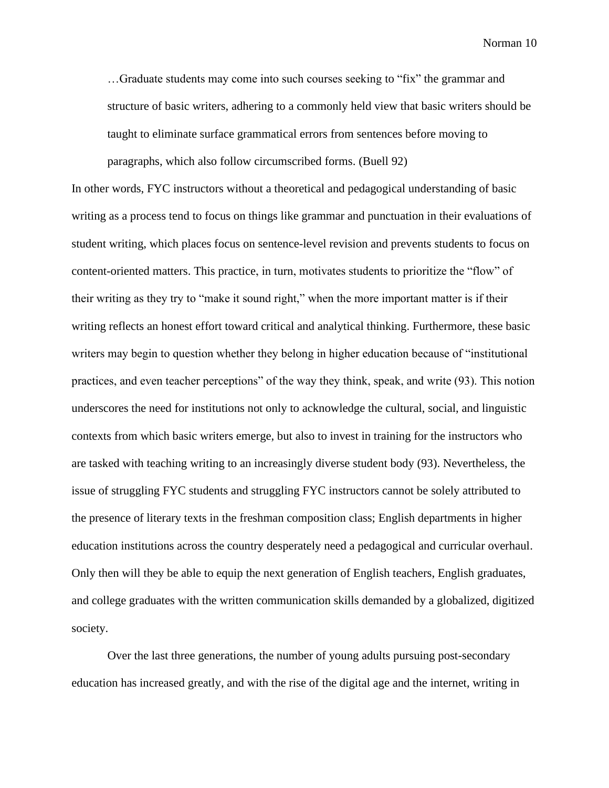…Graduate students may come into such courses seeking to "fix" the grammar and structure of basic writers, adhering to a commonly held view that basic writers should be taught to eliminate surface grammatical errors from sentences before moving to paragraphs, which also follow circumscribed forms. (Buell 92)

In other words, FYC instructors without a theoretical and pedagogical understanding of basic writing as a process tend to focus on things like grammar and punctuation in their evaluations of student writing, which places focus on sentence-level revision and prevents students to focus on content-oriented matters. This practice, in turn, motivates students to prioritize the "flow" of their writing as they try to "make it sound right," when the more important matter is if their writing reflects an honest effort toward critical and analytical thinking. Furthermore, these basic writers may begin to question whether they belong in higher education because of "institutional practices, and even teacher perceptions" of the way they think, speak, and write (93). This notion underscores the need for institutions not only to acknowledge the cultural, social, and linguistic contexts from which basic writers emerge, but also to invest in training for the instructors who are tasked with teaching writing to an increasingly diverse student body (93). Nevertheless, the issue of struggling FYC students and struggling FYC instructors cannot be solely attributed to the presence of literary texts in the freshman composition class; English departments in higher education institutions across the country desperately need a pedagogical and curricular overhaul. Only then will they be able to equip the next generation of English teachers, English graduates, and college graduates with the written communication skills demanded by a globalized, digitized society.

Over the last three generations, the number of young adults pursuing post-secondary education has increased greatly, and with the rise of the digital age and the internet, writing in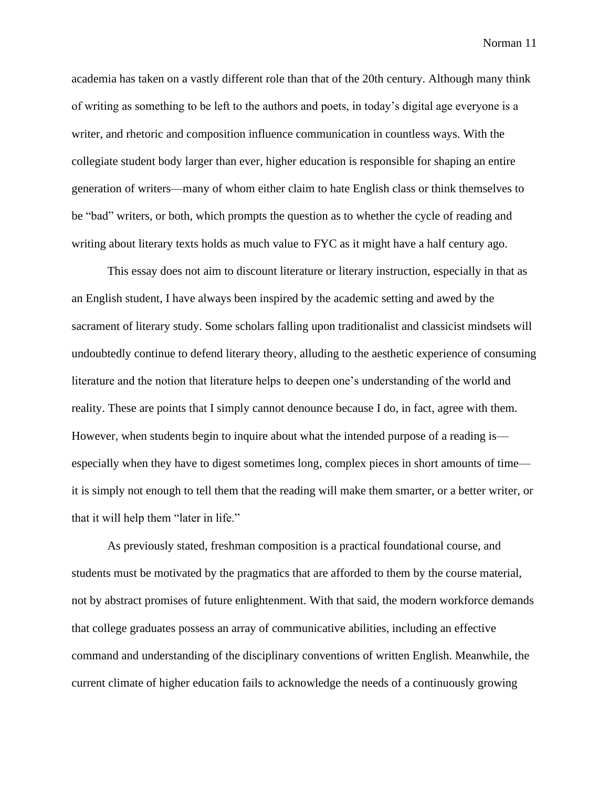academia has taken on a vastly different role than that of the 20th century. Although many think of writing as something to be left to the authors and poets, in today's digital age everyone is a writer, and rhetoric and composition influence communication in countless ways. With the collegiate student body larger than ever, higher education is responsible for shaping an entire generation of writers—many of whom either claim to hate English class or think themselves to be "bad" writers, or both, which prompts the question as to whether the cycle of reading and writing about literary texts holds as much value to FYC as it might have a half century ago.

This essay does not aim to discount literature or literary instruction, especially in that as an English student, I have always been inspired by the academic setting and awed by the sacrament of literary study. Some scholars falling upon traditionalist and classicist mindsets will undoubtedly continue to defend literary theory, alluding to the aesthetic experience of consuming literature and the notion that literature helps to deepen one's understanding of the world and reality. These are points that I simply cannot denounce because I do, in fact, agree with them. However, when students begin to inquire about what the intended purpose of a reading is especially when they have to digest sometimes long, complex pieces in short amounts of time it is simply not enough to tell them that the reading will make them smarter, or a better writer, or that it will help them "later in life."

As previously stated, freshman composition is a practical foundational course, and students must be motivated by the pragmatics that are afforded to them by the course material, not by abstract promises of future enlightenment. With that said, the modern workforce demands that college graduates possess an array of communicative abilities, including an effective command and understanding of the disciplinary conventions of written English. Meanwhile, the current climate of higher education fails to acknowledge the needs of a continuously growing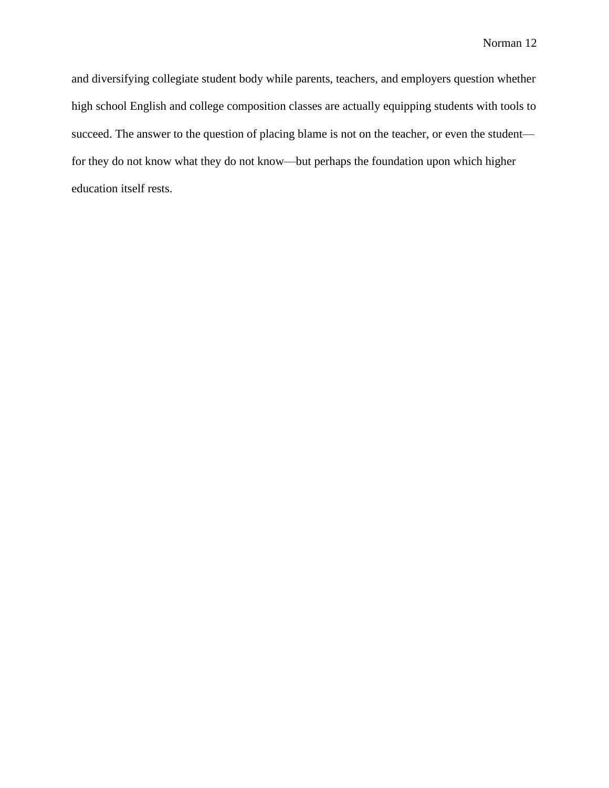and diversifying collegiate student body while parents, teachers, and employers question whether high school English and college composition classes are actually equipping students with tools to succeed. The answer to the question of placing blame is not on the teacher, or even the student for they do not know what they do not know—but perhaps the foundation upon which higher education itself rests.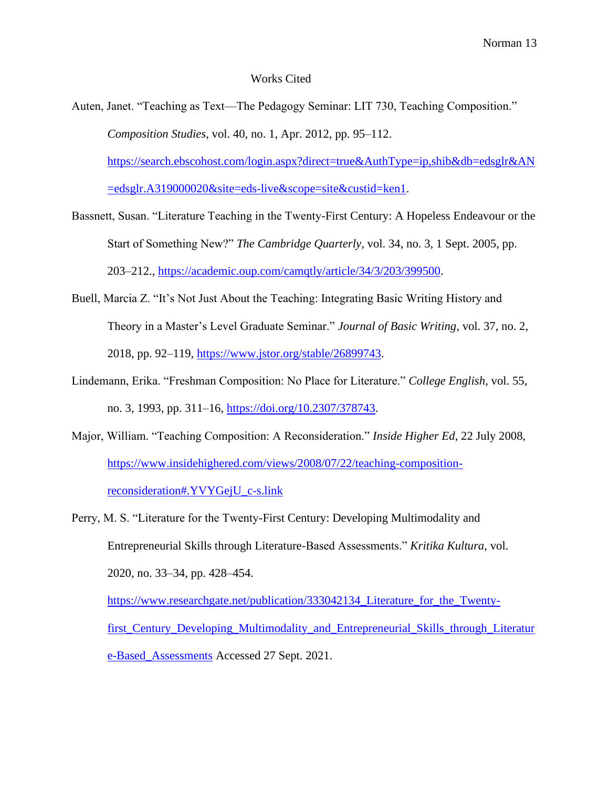#### Works Cited

- Auten, Janet. "Teaching as Text—The Pedagogy Seminar: LIT 730, Teaching Composition." *Composition Studies*, vol. 40, no. 1, Apr. 2012, pp. 95–112. [https://search.ebscohost.com/login.aspx?direct=true&AuthType=ip,shib&db=edsglr&AN](https://search.ebscohost.com/login.aspx?direct=true&AuthType=ip,shib&db=edsglr&AN%09=edsglr.A319000020&site=eds-live&scope=site&custid=ken1) [=edsglr.A319000020&site=eds-live&scope=site&custid=ken1.](https://search.ebscohost.com/login.aspx?direct=true&AuthType=ip,shib&db=edsglr&AN%09=edsglr.A319000020&site=eds-live&scope=site&custid=ken1)
- Bassnett, Susan. "Literature Teaching in the Twenty-First Century: A Hopeless Endeavour or the Start of Something New?" *The Cambridge Quarterly*, vol. 34, no. 3, 1 Sept. 2005, pp. 203–212., [https://academic.oup.com/camqtly/article/34/3/203/399500.](https://academic.oup.com/camqtly/article/34/3/203/399500)
- Buell, Marcia Z. "It's Not Just About the Teaching: Integrating Basic Writing History and Theory in a Master's Level Graduate Seminar." *Journal of Basic Writing*, vol. 37, no. 2, 2018, pp. 92–119, [https://www.jstor.org/stable/26899743.](https://www.jstor.org/stable/26899743)
- Lindemann, Erika. "Freshman Composition: No Place for Literature." *College English*, vol. 55, no. 3, 1993, pp. 311–16, [https://doi.org/10.2307/378743.](https://doi.org/10.2307/378743)
- Major, William. "Teaching Composition: A Reconsideration." *Inside Higher Ed*, 22 July 2008, [https://www.insidehighered.com/views/2008/07/22/teaching-composition](https://www.insidehighered.com/views/2008/07/22/teaching-composition-%09reconsideration#.YVYGejU_c-s.link)[reconsideration#.YVYGejU\\_c-s.link](https://www.insidehighered.com/views/2008/07/22/teaching-composition-%09reconsideration#.YVYGejU_c-s.link)

Perry, M. S. "Literature for the Twenty-First Century: Developing Multimodality and Entrepreneurial Skills through Literature-Based Assessments." *Kritika Kultura*, vol. 2020, no. 33–34, pp. 428–454. [https://www.researchgate.net/publication/333042134\\_Literature\\_for\\_the\\_Twenty](https://www.researchgate.net/publication/333042134_Literature_for_the_Twenty-%09first_Century_Developing_Multimodality_and_Entrepreneurial_Skills_through_Literatur%09e-Based_Assessments)[first\\_Century\\_Developing\\_Multimodality\\_and\\_Entrepreneurial\\_Skills\\_through\\_Literatur](https://www.researchgate.net/publication/333042134_Literature_for_the_Twenty-%09first_Century_Developing_Multimodality_and_Entrepreneurial_Skills_through_Literatur%09e-Based_Assessments) [e-Based\\_Assessments](https://www.researchgate.net/publication/333042134_Literature_for_the_Twenty-%09first_Century_Developing_Multimodality_and_Entrepreneurial_Skills_through_Literatur%09e-Based_Assessments) Accessed 27 Sept. 2021.